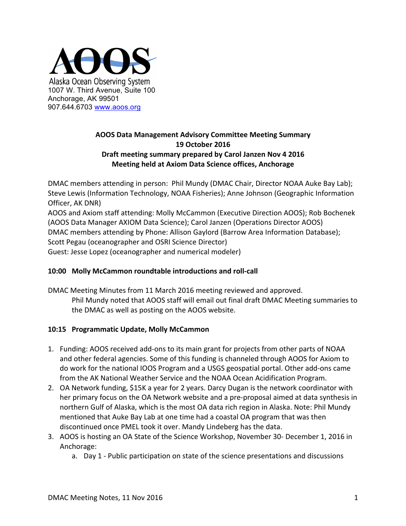

# **AOOS Data Management Advisory Committee Meeting Summary 19 October 2016 Draft meeting summary prepared by Carol Janzen Nov 4 2016 Meeting held at Axiom Data Science offices, Anchorage**

DMAC members attending in person: Phil Mundy (DMAC Chair, Director NOAA Auke Bay Lab); Steve Lewis (Information Technology, NOAA Fisheries); Anne Johnson (Geographic Information Officer, AK DNR) AOOS and Axiom staff attending: Molly McCammon (Executive Direction AOOS); Rob Bochenek (AOOS Data Manager AXIOM Data Science); Carol Janzen (Operations Director AOOS) DMAC members attending by Phone: Allison Gaylord (Barrow Area Information Database); Scott Pegau (oceanographer and OSRI Science Director) Guest: Jesse Lopez (oceanographer and numerical modeler)

## **10:00 Molly McCammon roundtable introductions and roll-call**

DMAC Meeting Minutes from 11 March 2016 meeting reviewed and approved. Phil Mundy noted that AOOS staff will email out final draft DMAC Meeting summaries to the DMAC as well as posting on the AOOS website.

#### **10:15 Programmatic Update, Molly McCammon**

- 1. Funding: AOOS received add-ons to its main grant for projects from other parts of NOAA and other federal agencies. Some of this funding is channeled through AOOS for Axiom to do work for the national IOOS Program and a USGS geospatial portal. Other add-ons came from the AK National Weather Service and the NOAA Ocean Acidification Program.
- 2. OA Network funding, \$15K a year for 2 years. Darcy Dugan is the network coordinator with her primary focus on the OA Network website and a pre-proposal aimed at data synthesis in northern Gulf of Alaska, which is the most OA data rich region in Alaska. Note: Phil Mundy mentioned that Auke Bay Lab at one time had a coastal OA program that was then discontinued once PMEL took it over. Mandy Lindeberg has the data.
- 3. AOOS is hosting an OA State of the Science Workshop, November 30- December 1, 2016 in Anchorage:
	- a. Day 1 Public participation on state of the science presentations and discussions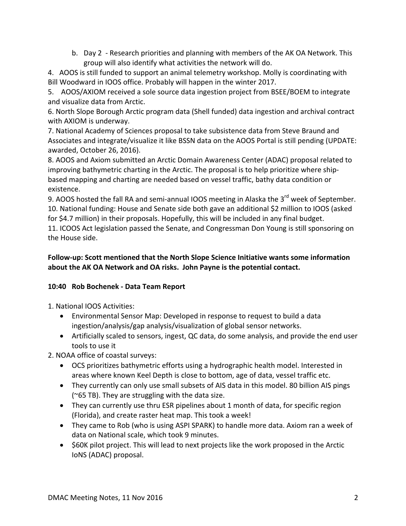b. Day 2 - Research priorities and planning with members of the AK OA Network. This group will also identify what activities the network will do.

4. AOOS is still funded to support an animal telemetry workshop. Molly is coordinating with Bill Woodward in IOOS office. Probably will happen in the winter 2017.

5. AOOS/AXIOM received a sole source data ingestion project from BSEE/BOEM to integrate and visualize data from Arctic.

6. North Slope Borough Arctic program data (Shell funded) data ingestion and archival contract with AXIOM is underway.

7. National Academy of Sciences proposal to take subsistence data from Steve Braund and Associates and integrate/visualize it like BSSN data on the AOOS Portal is still pending (UPDATE: awarded, October 26, 2016).

8. AOOS and Axiom submitted an Arctic Domain Awareness Center (ADAC) proposal related to improving bathymetric charting in the Arctic. The proposal is to help prioritize where shipbased mapping and charting are needed based on vessel traffic, bathy data condition or existence.

9. AOOS hosted the fall RA and semi-annual IOOS meeting in Alaska the  $3^{rd}$  week of September. 10. National funding: House and Senate side both gave an additional \$2 million to IOOS (asked for \$4.7 million) in their proposals. Hopefully, this will be included in any final budget.

11. ICOOS Act legislation passed the Senate, and Congressman Don Young is still sponsoring on the House side.

# **Follow-up: Scott mentioned that the North Slope Science Initiative wants some information** about the AK OA Network and OA risks. John Payne is the potential contact.

# **10:40 Rob Bochenek - Data Team Report**

1. National IOOS Activities:

- Environmental Sensor Map: Developed in response to request to build a data ingestion/analysis/gap analysis/visualization of global sensor networks.
- Artificially scaled to sensors, ingest, QC data, do some analysis, and provide the end user tools to use it

2. NOAA office of coastal surveys:

- OCS prioritizes bathymetric efforts using a hydrographic health model. Interested in areas where known Keel Depth is close to bottom, age of data, vessel traffic etc.
- They currently can only use small subsets of AIS data in this model. 80 billion AIS pings ( $\approx$ 65 TB). They are struggling with the data size.
- They can currently use thru ESR pipelines about 1 month of data, for specific region (Florida), and create raster heat map. This took a week!
- They came to Rob (who is using ASPI SPARK) to handle more data. Axiom ran a week of data on National scale, which took 9 minutes.
- \$60K pilot project. This will lead to next projects like the work proposed in the Arctic IoNS (ADAC) proposal.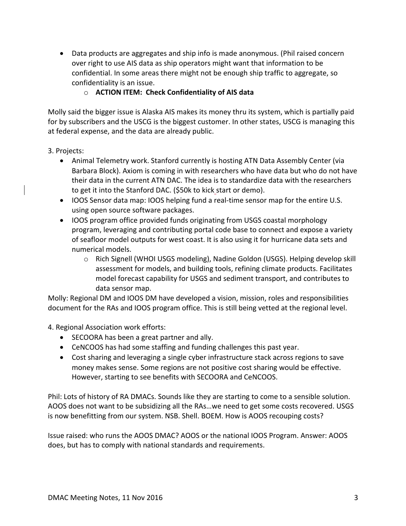• Data products are aggregates and ship info is made anonymous. (Phil raised concern over right to use AIS data as ship operators might want that information to be confidential. In some areas there might not be enough ship traffic to aggregate, so confidentiality is an issue.

# o **ACTION ITEM: Check Confidentiality of AIS data**

Molly said the bigger issue is Alaska AIS makes its money thru its system, which is partially paid for by subscribers and the USCG is the biggest customer. In other states, USCG is managing this at federal expense, and the data are already public.

#### 3. Projects:

- Animal Telemetry work. Stanford currently is hosting ATN Data Assembly Center (via Barbara Block). Axiom is coming in with researchers who have data but who do not have their data in the current ATN DAC. The idea is to standardize data with the researchers to get it into the Stanford DAC. (\$50k to kick start or demo).
- IOOS Sensor data map: IOOS helping fund a real-time sensor map for the entire U.S. using open source software packages.
- IOOS program office provided funds originating from USGS coastal morphology program, leveraging and contributing portal code base to connect and expose a variety of seafloor model outputs for west coast. It is also using it for hurricane data sets and numerical models.
	- $\circ$  Rich Signell (WHOI USGS modeling), Nadine Goldon (USGS). Helping develop skill assessment for models, and building tools, refining climate products. Facilitates model forecast capability for USGS and sediment transport, and contributes to data sensor map.

Molly: Regional DM and IOOS DM have developed a vision, mission, roles and responsibilities document for the RAs and IOOS program office. This is still being vetted at the regional level.

4. Regional Association work efforts:

- SECOORA has been a great partner and ally.
- CeNCOOS has had some staffing and funding challenges this past year.
- Cost sharing and leveraging a single cyber infrastructure stack across regions to save money makes sense. Some regions are not positive cost sharing would be effective. However, starting to see benefits with SECOORA and CeNCOOS.

Phil: Lots of history of RA DMACs. Sounds like they are starting to come to a sensible solution. AOOS does not want to be subsidizing all the RAs...we need to get some costs recovered. USGS is now benefitting from our system. NSB. Shell. BOEM. How is AOOS recouping costs?

Issue raised: who runs the AOOS DMAC? AOOS or the national IOOS Program. Answer: AOOS does, but has to comply with national standards and requirements.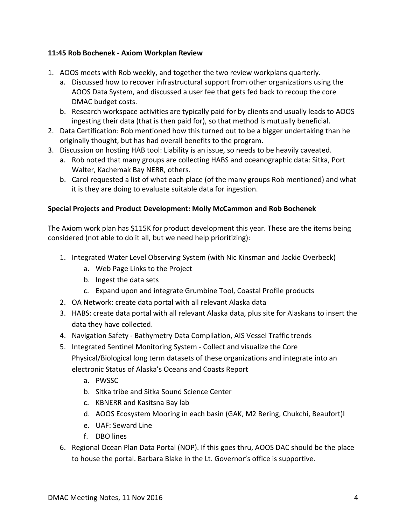## **11:45 Rob Bochenek - Axiom Workplan Review**

- 1. AOOS meets with Rob weekly, and together the two review workplans quarterly.
	- a. Discussed how to recover infrastructural support from other organizations using the AOOS Data System, and discussed a user fee that gets fed back to recoup the core DMAC budget costs.
	- b. Research workspace activities are typically paid for by clients and usually leads to AOOS ingesting their data (that is then paid for), so that method is mutually beneficial.
- 2. Data Certification: Rob mentioned how this turned out to be a bigger undertaking than he originally thought, but has had overall benefits to the program.
- 3. Discussion on hosting HAB tool: Liability is an issue, so needs to be heavily caveated.
	- a. Rob noted that many groups are collecting HABS and oceanographic data: Sitka, Port Walter, Kachemak Bay NERR, others.
	- b. Carol requested a list of what each place (of the many groups Rob mentioned) and what it is they are doing to evaluate suitable data for ingestion.

# **Special Projects and Product Development: Molly McCammon and Rob Bochenek**

The Axiom work plan has \$115K for product development this year. These are the items being considered (not able to do it all, but we need help prioritizing):

- 1. Integrated Water Level Observing System (with Nic Kinsman and Jackie Overbeck)
	- a. Web Page Links to the Project
	- b. Ingest the data sets
	- c. Expand upon and integrate Grumbine Tool, Coastal Profile products
- 2. OA Network: create data portal with all relevant Alaska data
- 3. HABS: create data portal with all relevant Alaska data, plus site for Alaskans to insert the data they have collected.
- 4. Navigation Safety Bathymetry Data Compilation, AIS Vessel Traffic trends
- 5. Integrated Sentinel Monitoring System Collect and visualize the Core Physical/Biological long term datasets of these organizations and integrate into an electronic Status of Alaska's Oceans and Coasts Report
	- a. PWSSC
	- b. Sitka tribe and Sitka Sound Science Center
	- c. KBNERR and Kasitsna Bay lab
	- d. AOOS Ecosystem Mooring in each basin (GAK, M2 Bering, Chukchi, Beaufort)I
	- e. UAF: Seward Line
	- f. DBO lines
- 6. Regional Ocean Plan Data Portal (NOP). If this goes thru, AOOS DAC should be the place to house the portal. Barbara Blake in the Lt. Governor's office is supportive.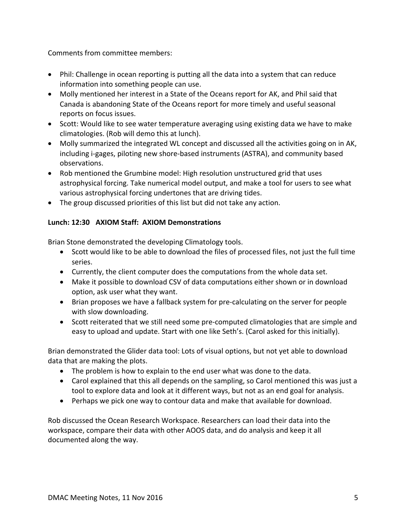Comments from committee members:

- Phil: Challenge in ocean reporting is putting all the data into a system that can reduce information into something people can use.
- Molly mentioned her interest in a State of the Oceans report for AK, and Phil said that Canada is abandoning State of the Oceans report for more timely and useful seasonal reports on focus issues.
- Scott: Would like to see water temperature averaging using existing data we have to make climatologies. (Rob will demo this at lunch).
- Molly summarized the integrated WL concept and discussed all the activities going on in AK, including i-gages, piloting new shore-based instruments (ASTRA), and community based observations.
- Rob mentioned the Grumbine model: High resolution unstructured grid that uses astrophysical forcing. Take numerical model output, and make a tool for users to see what various astrophysical forcing undertones that are driving tides.
- The group discussed priorities of this list but did not take any action.

# **Lunch: 12:30 AXIOM Staff: AXIOM Demonstrations**

Brian Stone demonstrated the developing Climatology tools.

- Scott would like to be able to download the files of processed files, not just the full time series.
- Currently, the client computer does the computations from the whole data set.
- Make it possible to download CSV of data computations either shown or in download option, ask user what they want.
- Brian proposes we have a fallback system for pre-calculating on the server for people with slow downloading.
- Scott reiterated that we still need some pre-computed climatologies that are simple and easy to upload and update. Start with one like Seth's. (Carol asked for this initially).

Brian demonstrated the Glider data tool: Lots of visual options, but not yet able to download data that are making the plots.

- The problem is how to explain to the end user what was done to the data.
- Carol explained that this all depends on the sampling, so Carol mentioned this was just a tool to explore data and look at it different ways, but not as an end goal for analysis.
- Perhaps we pick one way to contour data and make that available for download.

Rob discussed the Ocean Research Workspace. Researchers can load their data into the workspace, compare their data with other AOOS data, and do analysis and keep it all documented along the way.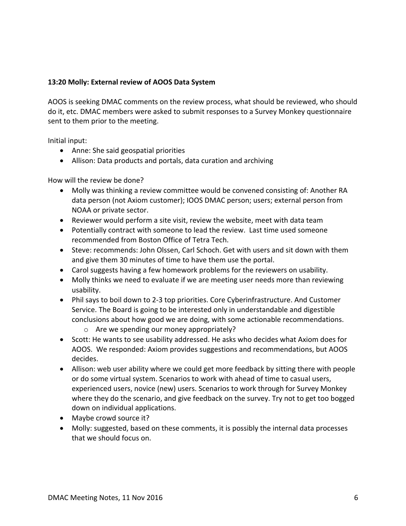#### **13:20 Molly: External review of AOOS Data System**

AOOS is seeking DMAC comments on the review process, what should be reviewed, who should do it, etc. DMAC members were asked to submit responses to a Survey Monkey questionnaire sent to them prior to the meeting.

Initial input:

- Anne: She said geospatial priorities
- Allison: Data products and portals, data curation and archiving

How will the review be done?

- Molly was thinking a review committee would be convened consisting of: Another RA data person (not Axiom customer); IOOS DMAC person; users; external person from NOAA or private sector.
- Reviewer would perform a site visit, review the website, meet with data team
- Potentially contract with someone to lead the review. Last time used someone recommended from Boston Office of Tetra Tech.
- Steve: recommends: John Olssen, Carl Schoch. Get with users and sit down with them and give them 30 minutes of time to have them use the portal.
- Carol suggests having a few homework problems for the reviewers on usability.
- Molly thinks we need to evaluate if we are meeting user needs more than reviewing usability.
- Phil says to boil down to 2-3 top priorities. Core Cyberinfrastructure. And Customer Service. The Board is going to be interested only in understandable and digestible conclusions about how good we are doing, with some actionable recommendations.
	- $\circ$  Are we spending our money appropriately?
- Scott: He wants to see usability addressed. He asks who decides what Axiom does for AOOS. We responded: Axiom provides suggestions and recommendations, but AOOS decides.
- Allison: web user ability where we could get more feedback by sitting there with people or do some virtual system. Scenarios to work with ahead of time to casual users, experienced users, novice (new) users. Scenarios to work through for Survey Monkey where they do the scenario, and give feedback on the survey. Try not to get too bogged down on individual applications.
- Maybe crowd source it?
- Molly: suggested, based on these comments, it is possibly the internal data processes that we should focus on.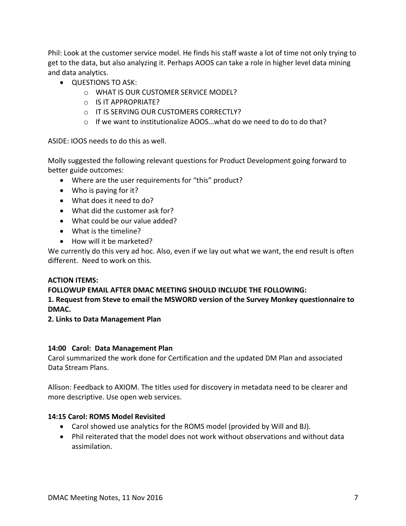Phil: Look at the customer service model. He finds his staff waste a lot of time not only trying to get to the data, but also analyzing it. Perhaps AOOS can take a role in higher level data mining and data analytics.

- QUESTIONS TO ASK:
	- $\circ$  WHAT IS OUR CUSTOMER SERVICE MODEL?
	- $\circ$  IS IT APPROPRIATE?
	- o IT IS SERVING OUR CUSTOMERS CORRECTLY?
	- $\circ$  If we want to institutionalize AOOS...what do we need to do to do that?

ASIDE: IOOS needs to do this as well.

Molly suggested the following relevant questions for Product Development going forward to better guide outcomes:

- Where are the user requirements for "this" product?
- $\bullet$  Who is paying for it?
- What does it need to do?
- $\bullet$  What did the customer ask for?
- What could be our value added?
- $\bullet$  What is the timeline?
- How will it be marketed?

We currently do this very ad hoc. Also, even if we lay out what we want, the end result is often different. Need to work on this.

## **ACTION ITEMS:**

## **FOLLOWUP EMAIL AFTER DMAC MEETING SHOULD INCLUDE THE FOLLOWING:**

## 1. Request from Steve to email the MSWORD version of the Survey Monkey questionnaire to **DMAC.**

## **2. Links to Data Management Plan**

## **14:00 Carol: Data Management Plan**

Carol summarized the work done for Certification and the updated DM Plan and associated Data Stream Plans.

Allison: Feedback to AXIOM. The titles used for discovery in metadata need to be clearer and more descriptive. Use open web services.

## **14:15 Carol: ROMS Model Revisited**

- Carol showed use analytics for the ROMS model (provided by Will and BJ).
- Phil reiterated that the model does not work without observations and without data assimilation.